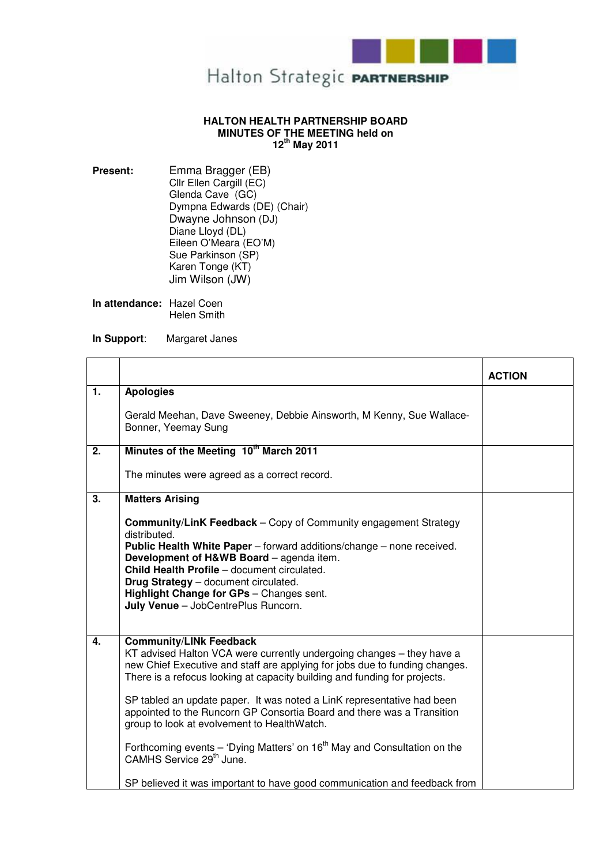

## **HALTON HEALTH PARTNERSHIP BOARD MINUTES OF THE MEETING held on 12th May 2011**

**Present:** Emma Bragger (EB) Cllr Ellen Cargill (EC) Glenda Cave (GC) Dympna Edwards (DE) (Chair) Dwayne Johnson (DJ) Diane Lloyd (DL) Eileen O'Meara (EO'M) Sue Parkinson (SP) Karen Tonge (KT) Jim Wilson (JW)

**In attendance:** Hazel Coen Helen Smith

**In Support**: Margaret Janes

|    |                                                                                                                                                                                                                                                                                                                                                                                                                                                                                                                                                                                                                                                                                       | <b>ACTION</b> |
|----|---------------------------------------------------------------------------------------------------------------------------------------------------------------------------------------------------------------------------------------------------------------------------------------------------------------------------------------------------------------------------------------------------------------------------------------------------------------------------------------------------------------------------------------------------------------------------------------------------------------------------------------------------------------------------------------|---------------|
| 1. | <b>Apologies</b>                                                                                                                                                                                                                                                                                                                                                                                                                                                                                                                                                                                                                                                                      |               |
|    | Gerald Meehan, Dave Sweeney, Debbie Ainsworth, M Kenny, Sue Wallace-<br>Bonner, Yeemay Sung                                                                                                                                                                                                                                                                                                                                                                                                                                                                                                                                                                                           |               |
| 2. | Minutes of the Meeting 10 <sup>th</sup> March 2011                                                                                                                                                                                                                                                                                                                                                                                                                                                                                                                                                                                                                                    |               |
|    | The minutes were agreed as a correct record.                                                                                                                                                                                                                                                                                                                                                                                                                                                                                                                                                                                                                                          |               |
| 3. | <b>Matters Arising</b>                                                                                                                                                                                                                                                                                                                                                                                                                                                                                                                                                                                                                                                                |               |
|    | <b>Community/LinK Feedback - Copy of Community engagement Strategy</b><br>distributed.<br>Public Health White Paper - forward additions/change - none received.<br>Development of H&WB Board - agenda item.<br>Child Health Profile - document circulated.<br>Drug Strategy - document circulated.<br>Highlight Change for GPs - Changes sent.<br>July Venue - JobCentrePlus Runcorn.                                                                                                                                                                                                                                                                                                 |               |
| 4. | <b>Community/LINk Feedback</b><br>KT advised Halton VCA were currently undergoing changes - they have a<br>new Chief Executive and staff are applying for jobs due to funding changes.<br>There is a refocus looking at capacity building and funding for projects.<br>SP tabled an update paper. It was noted a LinK representative had been<br>appointed to the Runcorn GP Consortia Board and there was a Transition<br>group to look at evolvement to HealthWatch.<br>Forthcoming events $-$ 'Dying Matters' on 16 <sup>th</sup> May and Consultation on the<br>CAMHS Service 29 <sup>th</sup> June.<br>SP believed it was important to have good communication and feedback from |               |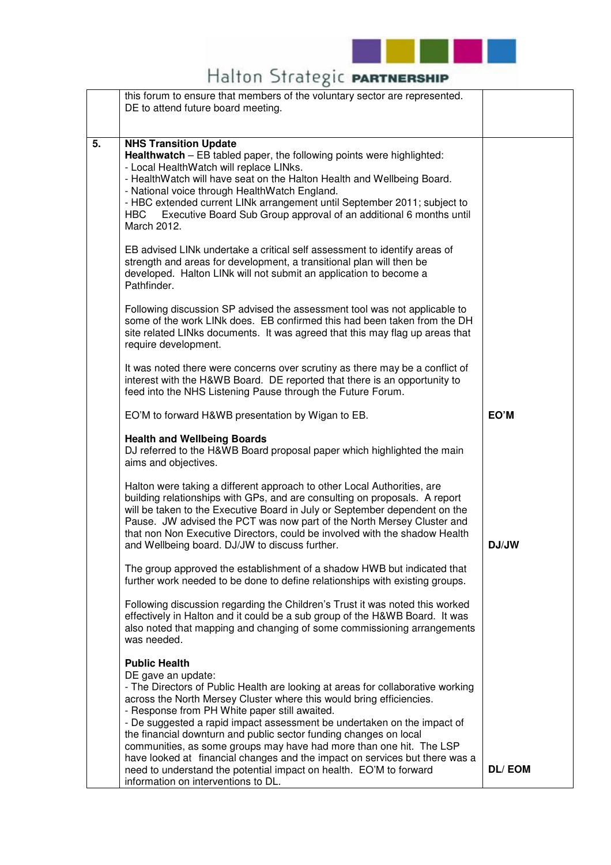

## Halton Strategic PARTNERSHIP

|    | this forum to ensure that members of the voluntary sector are represented.<br>DE to attend future board meeting.                                                                                                                                                                                                                                                                                                                                                                                                                                                                                                                                                                                                                                                                                                                                                                                                                                                                                                                               |               |
|----|------------------------------------------------------------------------------------------------------------------------------------------------------------------------------------------------------------------------------------------------------------------------------------------------------------------------------------------------------------------------------------------------------------------------------------------------------------------------------------------------------------------------------------------------------------------------------------------------------------------------------------------------------------------------------------------------------------------------------------------------------------------------------------------------------------------------------------------------------------------------------------------------------------------------------------------------------------------------------------------------------------------------------------------------|---------------|
| 5. | <b>NHS Transition Update</b><br>Healthwatch - EB tabled paper, the following points were highlighted:<br>- Local HealthWatch will replace LINks.<br>- HealthWatch will have seat on the Halton Health and Wellbeing Board.<br>- National voice through HealthWatch England.<br>- HBC extended current LINk arrangement until September 2011; subject to<br>Executive Board Sub Group approval of an additional 6 months until<br>HBC.<br>March 2012.<br>EB advised LINk undertake a critical self assessment to identify areas of<br>strength and areas for development, a transitional plan will then be<br>developed. Halton LINk will not submit an application to become a<br>Pathfinder.<br>Following discussion SP advised the assessment tool was not applicable to<br>some of the work LINk does. EB confirmed this had been taken from the DH<br>site related LINks documents. It was agreed that this may flag up areas that<br>require development.<br>It was noted there were concerns over scrutiny as there may be a conflict of |               |
|    | interest with the H&WB Board. DE reported that there is an opportunity to<br>feed into the NHS Listening Pause through the Future Forum.                                                                                                                                                                                                                                                                                                                                                                                                                                                                                                                                                                                                                                                                                                                                                                                                                                                                                                       |               |
|    | EO'M to forward H&WB presentation by Wigan to EB.                                                                                                                                                                                                                                                                                                                                                                                                                                                                                                                                                                                                                                                                                                                                                                                                                                                                                                                                                                                              | EO'M          |
|    | <b>Health and Wellbeing Boards</b><br>DJ referred to the H&WB Board proposal paper which highlighted the main<br>aims and objectives.                                                                                                                                                                                                                                                                                                                                                                                                                                                                                                                                                                                                                                                                                                                                                                                                                                                                                                          |               |
|    | Halton were taking a different approach to other Local Authorities, are<br>building relationships with GPs, and are consulting on proposals. A report<br>will be taken to the Executive Board in July or September dependent on the<br>Pause. JW advised the PCT was now part of the North Mersey Cluster and<br>that non Non Executive Directors, could be involved with the shadow Health<br>and Wellbeing board. DJ/JW to discuss further.                                                                                                                                                                                                                                                                                                                                                                                                                                                                                                                                                                                                  | DJ/JW         |
|    | The group approved the establishment of a shadow HWB but indicated that<br>further work needed to be done to define relationships with existing groups.                                                                                                                                                                                                                                                                                                                                                                                                                                                                                                                                                                                                                                                                                                                                                                                                                                                                                        |               |
|    | Following discussion regarding the Children's Trust it was noted this worked<br>effectively in Halton and it could be a sub group of the H&WB Board. It was<br>also noted that mapping and changing of some commissioning arrangements<br>was needed.                                                                                                                                                                                                                                                                                                                                                                                                                                                                                                                                                                                                                                                                                                                                                                                          |               |
|    | <b>Public Health</b><br>DE gave an update:<br>- The Directors of Public Health are looking at areas for collaborative working<br>across the North Mersey Cluster where this would bring efficiencies.<br>- Response from PH White paper still awaited.<br>- De suggested a rapid impact assessment be undertaken on the impact of<br>the financial downturn and public sector funding changes on local<br>communities, as some groups may have had more than one hit. The LSP<br>have looked at financial changes and the impact on services but there was a<br>need to understand the potential impact on health. EO'M to forward<br>information on interventions to DL.                                                                                                                                                                                                                                                                                                                                                                      | <b>DL/EOM</b> |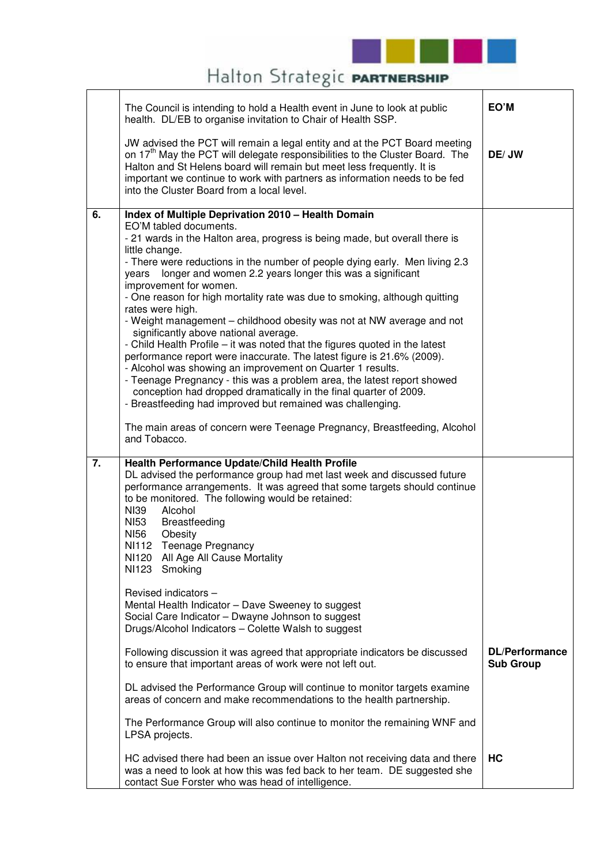

## Halton Strategic PARTNERSHIP

|    | The Council is intending to hold a Health event in June to look at public<br>health. DL/EB to organise invitation to Chair of Health SSP.                                                                                                                                                                                                                                                                                                                                                                                                                                                                                                                                                                                                                                                                                                                                                                                                                                                                                                                                                                        | EO'M                                      |
|----|------------------------------------------------------------------------------------------------------------------------------------------------------------------------------------------------------------------------------------------------------------------------------------------------------------------------------------------------------------------------------------------------------------------------------------------------------------------------------------------------------------------------------------------------------------------------------------------------------------------------------------------------------------------------------------------------------------------------------------------------------------------------------------------------------------------------------------------------------------------------------------------------------------------------------------------------------------------------------------------------------------------------------------------------------------------------------------------------------------------|-------------------------------------------|
|    | JW advised the PCT will remain a legal entity and at the PCT Board meeting<br>on 17 <sup>th</sup> May the PCT will delegate responsibilities to the Cluster Board. The<br>Halton and St Helens board will remain but meet less frequently. It is<br>important we continue to work with partners as information needs to be fed<br>into the Cluster Board from a local level.                                                                                                                                                                                                                                                                                                                                                                                                                                                                                                                                                                                                                                                                                                                                     | DE/JW                                     |
| 6. | Index of Multiple Deprivation 2010 - Health Domain<br>EO'M tabled documents.<br>- 21 wards in the Halton area, progress is being made, but overall there is<br>little change.<br>- There were reductions in the number of people dying early. Men living 2.3<br>longer and women 2.2 years longer this was a significant<br>years<br>improvement for women.<br>- One reason for high mortality rate was due to smoking, although quitting<br>rates were high.<br>- Weight management – childhood obesity was not at NW average and not<br>significantly above national average.<br>- Child Health Profile - it was noted that the figures quoted in the latest<br>performance report were inaccurate. The latest figure is 21.6% (2009).<br>- Alcohol was showing an improvement on Quarter 1 results.<br>- Teenage Pregnancy - this was a problem area, the latest report showed<br>conception had dropped dramatically in the final quarter of 2009.<br>- Breastfeeding had improved but remained was challenging.<br>The main areas of concern were Teenage Pregnancy, Breastfeeding, Alcohol<br>and Tobacco. |                                           |
| 7. | Health Performance Update/Child Health Profile<br>DL advised the performance group had met last week and discussed future<br>performance arrangements. It was agreed that some targets should continue<br>to be monitored. The following would be retained:<br>NI39<br>Alcohol<br><b>NI53</b><br>Breastfeeding<br>NI56<br>Obesity<br>NI112 Teenage Pregnancy<br>NI120 All Age All Cause Mortality<br>NI123<br>Smoking<br>Revised indicators -<br>Mental Health Indicator - Dave Sweeney to suggest<br>Social Care Indicator - Dwayne Johnson to suggest<br>Drugs/Alcohol Indicators - Colette Walsh to suggest<br>Following discussion it was agreed that appropriate indicators be discussed<br>to ensure that important areas of work were not left out.<br>DL advised the Performance Group will continue to monitor targets examine<br>areas of concern and make recommendations to the health partnership.                                                                                                                                                                                                  | <b>DL/Performance</b><br><b>Sub Group</b> |
|    | The Performance Group will also continue to monitor the remaining WNF and<br>LPSA projects.                                                                                                                                                                                                                                                                                                                                                                                                                                                                                                                                                                                                                                                                                                                                                                                                                                                                                                                                                                                                                      |                                           |
|    | HC advised there had been an issue over Halton not receiving data and there<br>was a need to look at how this was fed back to her team. DE suggested she<br>contact Sue Forster who was head of intelligence.                                                                                                                                                                                                                                                                                                                                                                                                                                                                                                                                                                                                                                                                                                                                                                                                                                                                                                    | НC                                        |